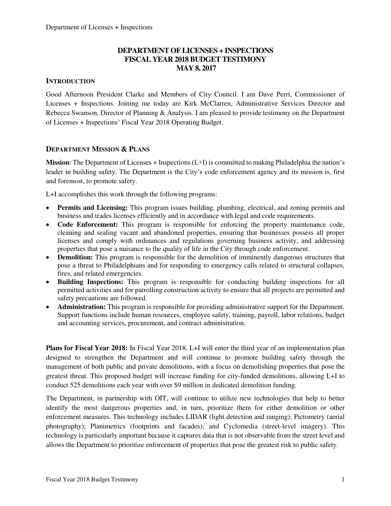### **DEPARTMENT OF LICENSES + INSPECTIONS FISCAL YEAR 2018 BUDGET TESTIMONY MAY 8, 2017**

#### **INTRODUCTION**

Good Afternoon President Clarke and Members of City Council. I am Dave Perri, Commissioner of Licenses + Inspections. Joining me today are Kirk McClarren, Administrative Services Director and Rebecca Swanson, Director of Planning & Analysis. I am pleased to provide testimony on the Department of Licenses + Inspections' Fiscal Year 2018 Operating Budget.

#### **DEPARTMENT MISSION & PLANS**

**Mission**: The Department of Licenses + Inspections (L+I) is committed to making Philadelphia the nation's leader in building safety. The Department is the City's code enforcement agency and its mission is, first and foremost, to promote safety.

L+I accomplishes this work through the following programs:

- **Permits and Licensing:** This program issues building, plumbing, electrical, and zoning permits and business and trades licenses efficiently and in accordance with legal and code requirements.
- **Code Enforcement:** This program is responsible for enforcing the property maintenance code, cleaning and sealing vacant and abandoned properties, ensuring that businesses possess all proper licenses and comply with ordinances and regulations governing business activity, and addressing properties that pose a nuisance to the quality of life in the City through code enforcement.
- **Demolition:** This program is responsible for the demolition of imminently dangerous structures that pose a threat to Philadelphians and for responding to emergency calls related to structural collapses, fires, and related emergencies.
- **Building Inspections:** This program is responsible for conducting building inspections for all permitted activities and for patrolling construction activity to ensure that all projects are permitted and safety precautions are followed.
- **Administration:** This program is responsible for providing administrative support for the Department. Support functions include human resources, employee safety, training, payroll, labor relations, budget and accounting services, procurement, and contract administration.

**Plans for Fiscal Year 2018:** In Fiscal Year 2018, L+I will enter the third year of an implementation plan designed to strengthen the Department and will continue to promote building safety through the management of both public and private demolitions, with a focus on demolishing properties that pose the greatest threat. This proposed budget will increase funding for city-funded demolitions, allowing L+I to conduct 525 demolitions each year with over \$9 million in dedicated demolition funding.

The Department, in partnership with OIT, will continue to utilize new technologies that help to better identify the most dangerous properties and, in turn, prioritize them for either demolition or other enforcement measures. This technology includes LIDAR (light detection and ranging); Pictometry (aerial photography); Planimetrics (footprints and facades); and Cyclomedia (street-level imagery). This technology is particularly important because it captures data that is not observable from the street level and allows the Department to prioritize enforcement of properties that pose the greatest risk to public safety.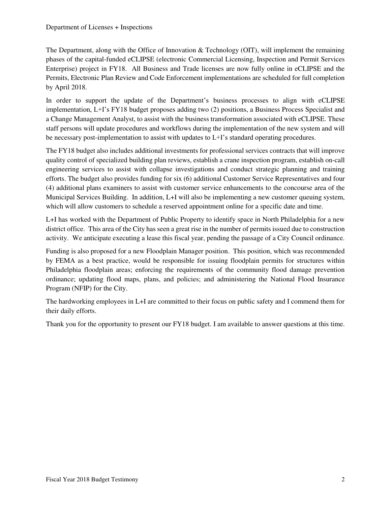The Department, along with the Office of Innovation  $&$  Technology (OIT), will implement the remaining phases of the capital-funded eCLIPSE (electronic Commercial Licensing, Inspection and Permit Services Enterprise) project in FY18. All Business and Trade licenses are now fully online in eCLIPSE and the Permits, Electronic Plan Review and Code Enforcement implementations are scheduled for full completion by April 2018.

In order to support the update of the Department's business processes to align with eCLIPSE implementation, L+I's FY18 budget proposes adding two (2) positions, a Business Process Specialist and a Change Management Analyst, to assist with the business transformation associated with eCLIPSE. These staff persons will update procedures and workflows during the implementation of the new system and will be necessary post-implementation to assist with updates to L+I's standard operating procedures.

The FY18 budget also includes additional investments for professional services contracts that will improve quality control of specialized building plan reviews, establish a crane inspection program, establish on-call engineering services to assist with collapse investigations and conduct strategic planning and training efforts. The budget also provides funding for six (6) additional Customer Service Representatives and four (4) additional plans examiners to assist with customer service enhancements to the concourse area of the Municipal Services Building. In addition, L+I will also be implementing a new customer queuing system, which will allow customers to schedule a reserved appointment online for a specific date and time.

L+I has worked with the Department of Public Property to identify space in North Philadelphia for a new district office. This area of the City has seen a great rise in the number of permits issued due to construction activity. We anticipate executing a lease this fiscal year, pending the passage of a City Council ordinance.

Funding is also proposed for a new Floodplain Manager position. This position, which was recommended by FEMA as a best practice, would be responsible for issuing floodplain permits for structures within Philadelphia floodplain areas; enforcing the requirements of the community flood damage prevention ordinance; updating flood maps, plans, and policies; and administering the National Flood Insurance Program (NFIP) for the City.

The hardworking employees in L+I are committed to their focus on public safety and I commend them for their daily efforts.

Thank you for the opportunity to present our FY18 budget. I am available to answer questions at this time.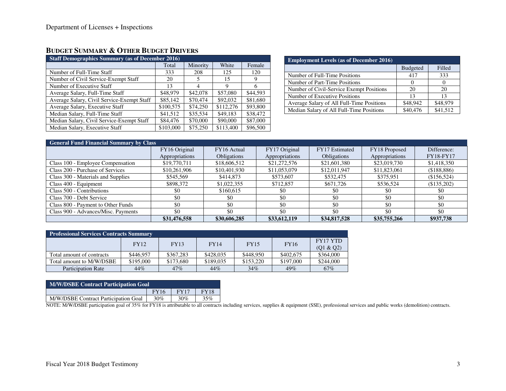# **BUDGET SUMMARY & OTHER BUDGET DRIVERS**

| <b>Staff Demographics Summary (as of December 2016)</b> |           |                |           |          |  |  |  |  |  |
|---------------------------------------------------------|-----------|----------------|-----------|----------|--|--|--|--|--|
|                                                         | Total     | Minority       | White     | Female   |  |  |  |  |  |
| Number of Full-Time Staff                               | 333       | 208            | 125       | 120      |  |  |  |  |  |
| Number of Civil Service-Exempt Staff                    | 20        | 5              | 15        | 9        |  |  |  |  |  |
| Number of Executive Staff                               | 13        | $\overline{4}$ | 9         | 6        |  |  |  |  |  |
| Average Salary, Full-Time Staff                         | \$48,979  | \$42,078       | \$57,080  | \$44,593 |  |  |  |  |  |
| Average Salary, Civil Service-Exempt Staff              | \$85,142  | \$70,474       | \$92,032  | \$81,680 |  |  |  |  |  |
| Average Salary, Executive Staff                         | \$100,575 | \$74,250       | \$112,276 | \$93,800 |  |  |  |  |  |
| Median Salary, Full-Time Staff                          | \$41,512  | \$35,534       | \$49,183  | \$38,472 |  |  |  |  |  |
| Median Salary, Civil Service-Exempt Staff               | \$84,476  | \$70,000       | \$90,000  | \$87,000 |  |  |  |  |  |
| Median Salary, Executive Staff                          | \$103,000 | \$75,250       | \$113,400 | \$96,500 |  |  |  |  |  |

| <b>Employment Levels (as of December 2016)</b> |          |          |  |  |  |  |  |  |
|------------------------------------------------|----------|----------|--|--|--|--|--|--|
|                                                | Budgeted | Filled   |  |  |  |  |  |  |
| Number of Full-Time Positions                  | 417      | 333      |  |  |  |  |  |  |
| Number of Part-Time Positions                  | $\theta$ |          |  |  |  |  |  |  |
| Number of Civil-Service Exempt Positions       | 20       | 20       |  |  |  |  |  |  |
| Number of Executive Positions                  | 13       | 13       |  |  |  |  |  |  |
| Average Salary of All Full-Time Positions      | \$48,942 | \$48,979 |  |  |  |  |  |  |
| Median Salary of All Full-Time Positions       | \$40,476 | \$41,512 |  |  |  |  |  |  |

| <b>General Fund Financial Summary by Class</b> |                |                    |                |                    |                |                  |  |  |  |
|------------------------------------------------|----------------|--------------------|----------------|--------------------|----------------|------------------|--|--|--|
|                                                | FY16 Original  | FY16 Actual        | FY17 Original  | FY17 Estimated     | FY18 Proposed  | Difference:      |  |  |  |
|                                                | Appropriations | <b>Obligations</b> | Appropriations | <b>Obligations</b> | Appropriations | <b>FY18-FY17</b> |  |  |  |
| Class 100 - Employee Compensation              | \$19,770,711   | \$18,606,512       | \$21,272,576   | \$21,601,380       | \$23,019,730   | \$1,418,350      |  |  |  |
| Class 200 - Purchase of Services               | \$10,261,906   | \$10,401,930       | \$11,053,079   | \$12,011,947       | \$11,823,061   | (\$188,886)      |  |  |  |
| Class 300 - Materials and Supplies             | \$545,569      | \$414.873          | \$573,607      | \$532,475          | \$375.951      | (\$156,524)      |  |  |  |
| Class 400 - Equipment                          | \$898,372      | \$1,022,355        | \$712,857      | \$671,726          | \$536,524      | (\$135,202)      |  |  |  |
| Class 500 - Contributions                      | \$0            | \$160,615          | \$0            | \$0                | \$0            | \$0              |  |  |  |
| Class 700 - Debt Service                       | \$0            | \$0                | \$0            | \$0                | \$0            | \$0              |  |  |  |
| Class 800 - Payment to Other Funds             | \$0            | \$0                | \$0            | \$0                | \$0            | \$0              |  |  |  |
| Class 900 - Advances/Misc. Payments            | \$0            | \$0                | \$0            | \$0                | \$0            | \$0              |  |  |  |
|                                                | \$31,476,558   | \$30,606,285       | \$33,612,119   | \$34,817,528       | \$35,755,266   | \$937,738        |  |  |  |

| <b>Professional Services Contracts Summary</b> |             |             |             |             |             |                 |  |  |  |
|------------------------------------------------|-------------|-------------|-------------|-------------|-------------|-----------------|--|--|--|
|                                                | <b>FY12</b> | <b>FY13</b> | <b>FY14</b> | <b>FY15</b> | <b>FY16</b> | <b>FY17 YTD</b> |  |  |  |
|                                                |             |             |             |             |             | (Q1 & Q2)       |  |  |  |
| Total amount of contracts                      | \$446,957   | \$367.283   | \$428,035   | \$448.950   | \$402,675   | \$364,000       |  |  |  |
| Total amount to M/W/DSBE                       | \$195,000   | \$173,680   | \$189,035   | \$153,220   | \$197,000   | \$244,000       |  |  |  |
| <b>Participation Rate</b>                      | 44%         | 47%         | 44%         | 34%         | 49%         | 67%             |  |  |  |

| <b>M/W/DSBE Contract Participation Goal</b> |             |             |             |  |  |  |  |  |
|---------------------------------------------|-------------|-------------|-------------|--|--|--|--|--|
|                                             | <b>FY16</b> | <b>FY17</b> | <b>FY18</b> |  |  |  |  |  |
| M/W/DSBE Contract Participation Goal        | 30%         | 30%         | 35%         |  |  |  |  |  |

NOTE: M/W/DSBE participation goal of 35% for FY18 is attributable to all contracts including services, supplies & equipment (SSE), professional services and public works (demolition) contracts.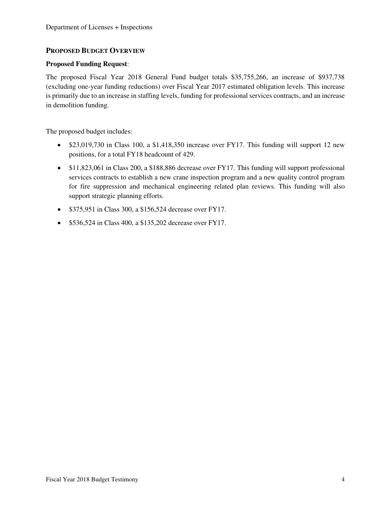#### **PROPOSED BUDGET OVERVIEW**

#### **Proposed Funding Request**:

The proposed Fiscal Year 2018 General Fund budget totals \$35,755,266, an increase of \$937,738 (excluding one-year funding reductions) over Fiscal Year 2017 estimated obligation levels. This increase is primarily due to an increase in staffing levels, funding for professional services contracts, and an increase in demolition funding.

The proposed budget includes:

- $\bullet$  \$23,019,730 in Class 100, a \$1,418,350 increase over FY17. This funding will support 12 new positions, for a total FY18 headcount of 429.
- \$11,823,061 in Class 200, a \$188,886 decrease over FY17. This funding will support professional services contracts to establish a new crane inspection program and a new quality control program for fire suppression and mechanical engineering related plan reviews. This funding will also support strategic planning efforts.
- \$375,951 in Class 300, a \$156,524 decrease over FY17.
- $\bullet$  \$536,524 in Class 400, a \$135,202 decrease over FY17.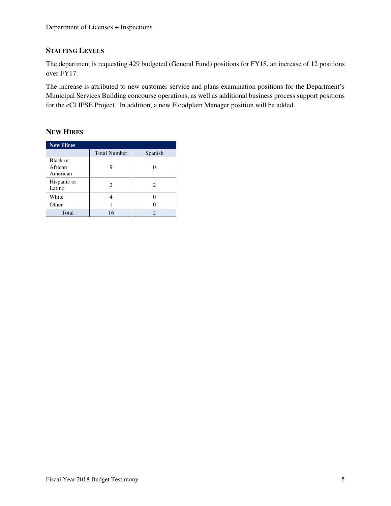### **STAFFING LEVELS**

The department is requesting 429 budgeted (General Fund) positions for FY18, an increase of 12 positions over FY17.

The increase is attributed to new customer service and plans examination positions for the Department's Municipal Services Building concourse operations, as well as additional business process support positions for the eCLIPSE Project. In addition, a new Floodplain Manager position will be added.

## **NEW HIRES**

| <b>New Hires</b>                |                     |                             |  |  |  |  |  |  |  |
|---------------------------------|---------------------|-----------------------------|--|--|--|--|--|--|--|
|                                 | <b>Total Number</b> | Spanish                     |  |  |  |  |  |  |  |
| Black or<br>African<br>American |                     |                             |  |  |  |  |  |  |  |
| Hispanic or<br>Latino           | 2                   | 2                           |  |  |  |  |  |  |  |
| White                           |                     |                             |  |  |  |  |  |  |  |
| Other                           |                     |                             |  |  |  |  |  |  |  |
| Total                           | 16                  | $\mathcal{D}_{\mathcal{L}}$ |  |  |  |  |  |  |  |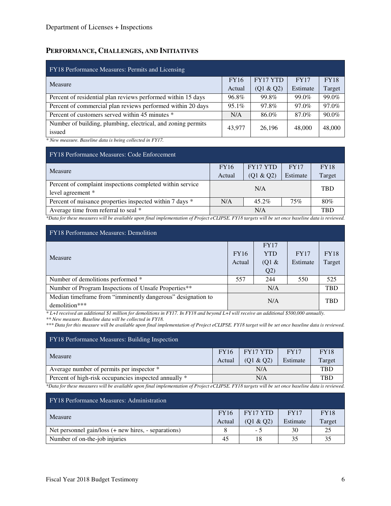### **PERFORMANCE, CHALLENGES, AND INITIATIVES**

| FY18 Performance Measures: Permits and Licensing                       |             |                 |             |             |  |  |  |  |  |
|------------------------------------------------------------------------|-------------|-----------------|-------------|-------------|--|--|--|--|--|
| Measure                                                                | <b>FY16</b> | <b>FY17 YTD</b> | <b>FY17</b> | <b>FY18</b> |  |  |  |  |  |
|                                                                        | Actual      | (Q1 & Q2)       | Estimate    | Target      |  |  |  |  |  |
| Percent of residential plan reviews performed within 15 days           | 96.8%       | 99.8%           | 99.0%       | 99.0%       |  |  |  |  |  |
| Percent of commercial plan reviews performed within 20 days            | $95.1\%$    | 97.8%           | 97.0%       | 97.0%       |  |  |  |  |  |
| Percent of customers served within 45 minutes *                        | N/A         | 86.0%           | 87.0%       | 90.0%       |  |  |  |  |  |
| Number of building, plumbing, electrical, and zoning permits<br>issued | 43,977      | 26,196          | 48,000      | 48,000      |  |  |  |  |  |

*\* New measure. Baseline data is being collected in FY17.*

| <b>FY18 Performance Measures: Code Enforcement</b>                                                                                                       |                                |            |             |             |  |  |  |  |  |
|----------------------------------------------------------------------------------------------------------------------------------------------------------|--------------------------------|------------|-------------|-------------|--|--|--|--|--|
| <b>Measure</b>                                                                                                                                           | <b>FY17 YTD</b><br><b>FY16</b> |            | <b>FY17</b> | <b>FY18</b> |  |  |  |  |  |
|                                                                                                                                                          | (Q1 & Q2)<br>Actual            |            | Estimate    | Target      |  |  |  |  |  |
| Percent of complaint inspections completed within service<br>level agreement *                                                                           |                                | <b>TBD</b> |             |             |  |  |  |  |  |
| Percent of nuisance properties inspected within 7 days *                                                                                                 | N/A                            | 80%        |             |             |  |  |  |  |  |
| Average time from referral to seal *                                                                                                                     | N/A<br><b>TBD</b>              |            |             |             |  |  |  |  |  |
| $*D$ at a fact have measured will be smalled by man final innel on antation of Ducient of LIDEE, EV10 towards will be ast anno haraling data is noninged |                                |            |             |             |  |  |  |  |  |

*\*Data for these measures will be available upon final implementation of Project eCLIPSE. FY18 targets will be set once baseline data is reviewed.* 

| <b>FY18</b> Performance Measures: Demolition                                 |             |             |             |             |  |  |  |  |  |
|------------------------------------------------------------------------------|-------------|-------------|-------------|-------------|--|--|--|--|--|
|                                                                              |             | <b>FY17</b> |             |             |  |  |  |  |  |
| <b>Measure</b>                                                               | <b>FY16</b> | <b>YTD</b>  | <b>FY17</b> | <b>FY18</b> |  |  |  |  |  |
|                                                                              |             | $(Q1 \&$    | Estimate    | Target      |  |  |  |  |  |
|                                                                              |             | Q2)         |             |             |  |  |  |  |  |
| Number of demolitions performed *                                            | 557         | 244         | 550         | 525         |  |  |  |  |  |
| Number of Program Inspections of Unsafe Properties**                         | N/A         |             |             | <b>TBD</b>  |  |  |  |  |  |
| Median timeframe from "imminently dangerous" designation to<br>demolition*** | N/A         |             |             | <b>TBD</b>  |  |  |  |  |  |

*\* L+I received an additional \$1 million for demolitions in FY17. In FY18 and beyond L+I will receive an additional \$500,000 annually.* 

*\*\* New measure. Baseline data will be collected in FY18.* 

*\*\*\* Data for this measure will be available upon final implementation of Project eCLIPSE. FY18 target will be set once baseline data is reviewed.* 

| FY18 Performance Measures: Building Inspection                                                                                                                                                                                                                                                                                                                       |  |                         |          |             |  |  |  |  |
|----------------------------------------------------------------------------------------------------------------------------------------------------------------------------------------------------------------------------------------------------------------------------------------------------------------------------------------------------------------------|--|-------------------------|----------|-------------|--|--|--|--|
| Measure                                                                                                                                                                                                                                                                                                                                                              |  | FY17 YTD<br><b>FY16</b> |          | <b>FY18</b> |  |  |  |  |
|                                                                                                                                                                                                                                                                                                                                                                      |  | (Q1 & Q2)               | Estimate | Target      |  |  |  |  |
| Average number of permits per inspector *                                                                                                                                                                                                                                                                                                                            |  | <b>TBD</b>              |          |             |  |  |  |  |
| Percent of high-risk occupancies inspected annually *                                                                                                                                                                                                                                                                                                                |  | <b>TBD</b>              |          |             |  |  |  |  |
| $*n_{i+1}, i_{i+1}, \ldots, i_{i+1}, \ldots, i+1, i, \ldots, i+1, i+1, \ldots, i+1, \ldots, i+1, \ldots, i+1, \ldots, i+1, \ldots, i+1, \ldots, i+1, \ldots, i+1, \ldots, i+1, \ldots, i+1, \ldots, i+1, \ldots, i+1, \ldots, i+1, \ldots, i+1, \ldots, i+1, \ldots, i+1, \ldots, i+1, \ldots, i+1, \ldots, i+1, \ldots, i+1, \ldots, i+1, \ldots, i+1, \ldots, i+1$ |  |                         |          |             |  |  |  |  |

*\*Data for these measures will be available upon final implementation of Project eCLIPSE. FY18 targets will be set once baseline data is reviewed.* 

| <b>FY18</b> Performance Measures: Administration     |    |           |             |             |  |  |  |  |  |
|------------------------------------------------------|----|-----------|-------------|-------------|--|--|--|--|--|
| Measure                                              |    | FY17 YTD  | <b>FY17</b> | <b>FY18</b> |  |  |  |  |  |
|                                                      |    | (01 & 02) | Estimate    | Target      |  |  |  |  |  |
| Net personnel gain/loss (+ new hires, - separations) |    | - 5       | 30          | 25          |  |  |  |  |  |
| Number of on-the-job injuries                        | 45 | 18        | 35          | 35          |  |  |  |  |  |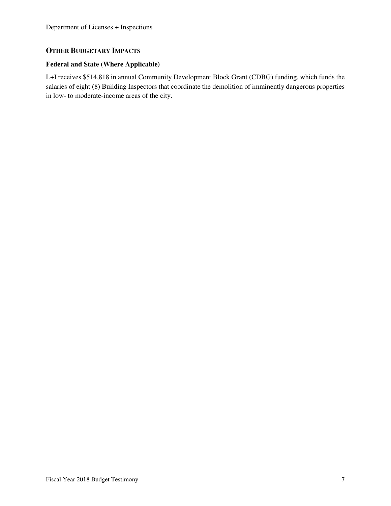# **OTHER BUDGETARY IMPACTS**

### **Federal and State (Where Applicable)**

L+I receives \$514,818 in annual Community Development Block Grant (CDBG) funding, which funds the salaries of eight (8) Building Inspectors that coordinate the demolition of imminently dangerous properties in low- to moderate-income areas of the city.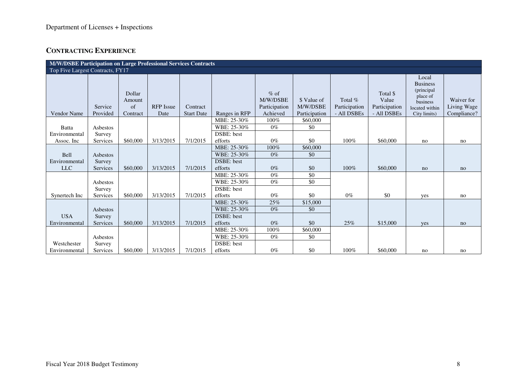# **CONTRACTING EXPERIENCE**

|                    | M/W/DSBE Participation on Large Professional Services Contracts |                                    |                          |                               |               |                                                 |                                          |                                         |                                                   |                                                                                                  |                                          |
|--------------------|-----------------------------------------------------------------|------------------------------------|--------------------------|-------------------------------|---------------|-------------------------------------------------|------------------------------------------|-----------------------------------------|---------------------------------------------------|--------------------------------------------------------------------------------------------------|------------------------------------------|
|                    | Top Five Largest Contracts, FY17                                |                                    |                          |                               |               |                                                 |                                          |                                         |                                                   |                                                                                                  |                                          |
| <b>Vendor Name</b> | Service<br>Provided                                             | Dollar<br>Amount<br>of<br>Contract | <b>RFP</b> Issue<br>Date | Contract<br><b>Start Date</b> | Ranges in RFP | $%$ of<br>M/W/DSBE<br>Participation<br>Achieved | \$ Value of<br>M/W/DSBE<br>Participation | Total %<br>Participation<br>- All DSBEs | Total \$<br>Value<br>Participation<br>- All DSBEs | Local<br><b>Business</b><br>(principal<br>place of<br>business<br>located within<br>City limits) | Waiver for<br>Living Wage<br>Compliance? |
|                    |                                                                 |                                    |                          |                               | MBE: 25-30%   | 100%                                            | \$60,000                                 |                                         |                                                   |                                                                                                  |                                          |
| Batta              | Asbestos                                                        |                                    |                          |                               | WBE: 25-30%   | $0\%$                                           | \$0                                      |                                         |                                                   |                                                                                                  |                                          |
| Environmental      | Survey                                                          |                                    |                          |                               | DSBE: best    |                                                 |                                          |                                         |                                                   |                                                                                                  |                                          |
| Assoc. Inc.        | Services                                                        | \$60,000                           | 3/13/2015                | 7/1/2015                      | efforts       | $0\%$                                           | \$0                                      | 100%                                    | \$60,000                                          | no                                                                                               | no                                       |
|                    |                                                                 |                                    |                          |                               | MBE: 25-30%   | 100%                                            | \$60,000                                 |                                         |                                                   |                                                                                                  |                                          |
| Bell               | Asbestos                                                        |                                    |                          |                               | WBE: 25-30%   | $0\%$                                           | \$0                                      |                                         |                                                   |                                                                                                  |                                          |
| Environmental      | Survey                                                          |                                    |                          |                               | DSBE: best    |                                                 |                                          |                                         |                                                   |                                                                                                  |                                          |
| <b>LLC</b>         | Services                                                        | \$60,000                           | 3/13/2015                | 7/1/2015                      | efforts       | $0\%$                                           | \$0                                      | 100%                                    | \$60,000                                          | no                                                                                               | no                                       |
|                    |                                                                 |                                    |                          |                               | MBE: 25-30%   | $0\%$                                           | $\overline{50}$                          |                                         |                                                   |                                                                                                  |                                          |
|                    | Asbestos                                                        |                                    |                          |                               | WBE: 25-30%   | $0\%$                                           | $\overline{50}$                          |                                         |                                                   |                                                                                                  |                                          |
|                    | Survey                                                          |                                    |                          |                               | DSBE: best    |                                                 |                                          |                                         |                                                   |                                                                                                  |                                          |
| Synertech Inc      | Services                                                        | \$60,000                           | 3/13/2015                | 7/1/2015                      | efforts       | $0\%$                                           | \$0                                      | $0\%$                                   | \$0                                               | yes                                                                                              | no                                       |
|                    |                                                                 |                                    |                          |                               | MBE: 25-30%   | 25%                                             | \$15,000                                 |                                         |                                                   |                                                                                                  |                                          |
|                    | Asbestos                                                        |                                    |                          |                               | WBE: 25-30%   | $0\%$                                           | \$0                                      |                                         |                                                   |                                                                                                  |                                          |
| <b>USA</b>         | Survey                                                          |                                    |                          |                               | DSBE: best    |                                                 |                                          |                                         |                                                   |                                                                                                  |                                          |
| Environmental      | Services                                                        | \$60,000                           | 3/13/2015                | 7/1/2015                      | efforts       | $0\%$                                           | \$0                                      | 25%                                     | \$15,000                                          | yes                                                                                              | no                                       |
|                    |                                                                 |                                    |                          |                               | MBE: 25-30%   | 100%                                            | \$60,000                                 |                                         |                                                   |                                                                                                  |                                          |
|                    | Asbestos                                                        |                                    |                          |                               | WBE: 25-30%   | $0\%$                                           | \$0                                      |                                         |                                                   |                                                                                                  |                                          |
| Westchester        | Survey                                                          |                                    |                          |                               | DSBE: best    |                                                 |                                          |                                         |                                                   |                                                                                                  |                                          |
| Environmental      | Services                                                        | \$60,000                           | 3/13/2015                | 7/1/2015                      | efforts       | $0\%$                                           | \$0                                      | 100%                                    | \$60,000                                          | no                                                                                               | no                                       |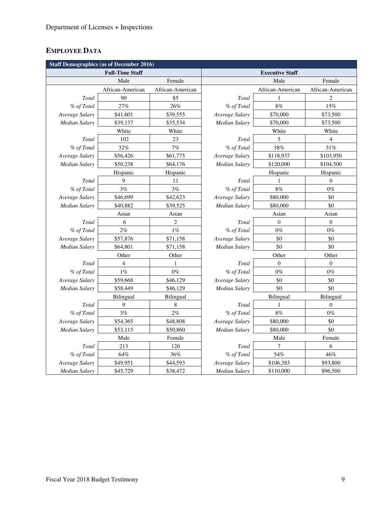# **EMPLOYEE DATA**

| <b>Staff Demographics (as of December 2016)</b> |                        |                  |                             |                  |                  |  |  |  |  |  |  |  |
|-------------------------------------------------|------------------------|------------------|-----------------------------|------------------|------------------|--|--|--|--|--|--|--|
|                                                 | <b>Full-Time Staff</b> |                  | <b>Executive Staff</b>      |                  |                  |  |  |  |  |  |  |  |
|                                                 | Male                   |                  |                             | Male             | Female           |  |  |  |  |  |  |  |
|                                                 | African-American       | African-American |                             | African-American | African-American |  |  |  |  |  |  |  |
| Total                                           | 90                     | 85               | Total                       |                  | 2                |  |  |  |  |  |  |  |
| % of Total                                      | 27%                    | 26%              | % of Total                  | 8%               | 15%              |  |  |  |  |  |  |  |
| Average Salary                                  | \$41,601               | \$39,555         | \$70,000<br>Average Salary  |                  | \$73,500         |  |  |  |  |  |  |  |
| Median Salary                                   | \$39,137               | \$35,534         | Median Salary               | \$70,000         | \$73,500         |  |  |  |  |  |  |  |
|                                                 | White                  | White            |                             | White            | White            |  |  |  |  |  |  |  |
| Total                                           | 102                    | 23               | Total                       | 5                | $\overline{4}$   |  |  |  |  |  |  |  |
| % of Total                                      | 32%                    | 7%               | % of Total<br>38%           |                  | 31%              |  |  |  |  |  |  |  |
| Average Salary                                  | \$56,426               | \$61,775         | Average Salary<br>\$118,937 |                  | \$103,950        |  |  |  |  |  |  |  |
| Median Salary                                   | \$50,238               | \$64,176         | \$120,000<br>Median Salary  |                  | \$104,500        |  |  |  |  |  |  |  |
|                                                 | Hispanic               | Hispanic         |                             | Hispanic         | Hispanic         |  |  |  |  |  |  |  |
| Total                                           | 9                      | 11               | Total                       | 1                | $\mathbf{0}$     |  |  |  |  |  |  |  |
| % of Total                                      | 3%                     | 3%               | % of Total                  | $8\%$            | $0\%$            |  |  |  |  |  |  |  |
| Average Salary                                  | \$46,699               | \$42,623         | Average Salary<br>\$80,000  |                  | \$0              |  |  |  |  |  |  |  |
| Median Salary                                   | \$40,882               | \$39,525         | <b>Median Salary</b>        | \$80,000         | \$0              |  |  |  |  |  |  |  |
|                                                 | Asian                  | Asian            |                             | Asian            |                  |  |  |  |  |  |  |  |
| Total                                           | 6                      | $\overline{2}$   | Total                       | $\boldsymbol{0}$ | $\boldsymbol{0}$ |  |  |  |  |  |  |  |
| % of Total                                      | $2\%$                  | $1\%$            | % of Total                  | $0\%$            | $0\%$            |  |  |  |  |  |  |  |
| Average Salary                                  | \$57,876               | \$71,158         | Average Salary              | \$0              | \$0              |  |  |  |  |  |  |  |
| Median Salary                                   | \$64,801               | \$71,158         | Median Salary               | \$0              | \$0              |  |  |  |  |  |  |  |
|                                                 | Other                  | Other            | Other<br>Other              |                  |                  |  |  |  |  |  |  |  |
| Total                                           | 4                      | $\mathbf{1}$     | Total                       | $\mathbf{0}$     | $\boldsymbol{0}$ |  |  |  |  |  |  |  |
| % of Total                                      | $1\%$                  | $0\%$            | % of Total                  | $0\%$            | $0\%$            |  |  |  |  |  |  |  |
| Average Salary                                  | \$59,668               | \$46,129         | Average Salary              | \$0              | \$0              |  |  |  |  |  |  |  |
| Median Salary                                   | \$58,449               | \$46,129         | Median Salary               | \$0              | \$0              |  |  |  |  |  |  |  |
|                                                 | Bilingual              | Bilingual        |                             | Bilingual        | Bilingual        |  |  |  |  |  |  |  |
| Total                                           | 9                      | 8                | Total                       | 1                | $\mathbf{0}$     |  |  |  |  |  |  |  |
| % of Total                                      | 3%                     | 2%               | % of Total                  | 8%               | $0\%$            |  |  |  |  |  |  |  |
| Average Salary                                  | \$54,365               | \$48,808         | Average Salary              | \$80,000         | \$0              |  |  |  |  |  |  |  |
| Median Salary                                   | \$53,115               | \$50,860         | \$80,000<br>Median Salary   |                  | \$0              |  |  |  |  |  |  |  |
|                                                 | Male                   | Female           | Male<br>Female              |                  |                  |  |  |  |  |  |  |  |
| Total                                           | 213                    | 120              | Total                       | 7                | 6                |  |  |  |  |  |  |  |
| % of Total                                      | 64%                    | 36%              | % of Total                  | 54%              | 46%              |  |  |  |  |  |  |  |
| Average Salary                                  | \$49,951               | \$44,593         | Average Salary              | \$106,383        | \$93,800         |  |  |  |  |  |  |  |
| Median Salary                                   | \$45,729               | \$38,472         | Median Salary               | \$110,000        | \$96,500         |  |  |  |  |  |  |  |